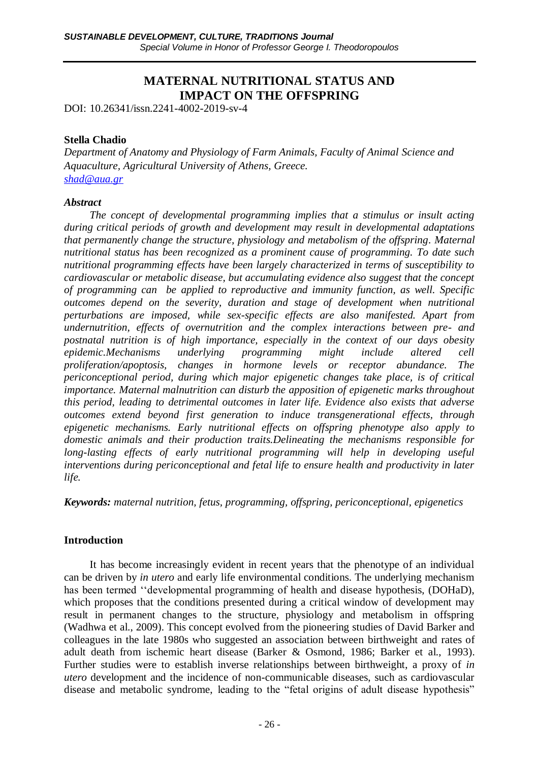# **MATERNAL NUTRITIONAL STATUS AND IMPACT ON THE OFFSPRING**

DOI: 10.26341/issn.2241-4002-2019-sv-4

### **Stella Chadio**

*Department of Anatomy and Physiology of Farm Animals, Faculty of Animal Science and Aquaculture, Agricultural University of Athens, Greece. [shad@aua.gr](mailto:shad@aua.gr)*

#### *Abstract*

*The concept of developmental programming implies that a stimulus or insult acting during critical periods of growth and development may result in developmental adaptations that permanently change the structure, physiology and metabolism of the offspring. Maternal nutritional status has been recognized as a prominent cause of programming. To date such nutritional programming effects have been largely characterized in terms of susceptibility to cardiovascular or metabolic disease, but accumulating evidence also suggest that the concept of programming can be applied to reproductive and immunity function, as well. Specific outcomes depend on the severity, duration and stage of development when nutritional perturbations are imposed, while sex-specific effects are also manifested. Apart from undernutrition, effects of overnutrition and the complex interactions between pre- and postnatal nutrition is of high importance, especially in the context of our days obesity epidemic.Mechanisms underlying programming might include altered cell proliferation/apoptosis, changes in hormone levels or receptor abundance. The periconceptional period, during which major epigenetic changes take place, is of critical importance. Maternal malnutrition can disturb the apposition of epigenetic marks throughout this period, leading to detrimental outcomes in later life. Evidence also exists that adverse outcomes extend beyond first generation to induce transgenerational effects, through epigenetic mechanisms. Early nutritional effects on offspring phenotype also apply to domestic animals and their production traits.Delineating the mechanisms responsible for*  long-lasting effects of early nutritional programming will help in developing useful *interventions during periconceptional and fetal life to ensure health and productivity in later life.*

*Keywords: maternal nutrition, fetus, programming, offspring, periconceptional, epigenetics*

# **Introduction**

It has become increasingly evident in recent years that the phenotype of an individual can be driven by *in utero* and early life environmental conditions. The underlying mechanism has been termed ''developmental programming of health and disease hypothesis, (DOHaD), which proposes that the conditions presented during a critical window of development may result in permanent changes to the structure, physiology and metabolism in offspring (Wadhwa et al., 2009). This concept evolved from the pioneering studies of David Barker and colleagues in the late 1980s who suggested an association between birthweight and rates of adult death from ischemic heart disease (Barker & Osmond, 1986; Barker et al., 1993). Further studies were to establish inverse relationships between birthweight, a proxy of *in utero* development and the incidence of non-communicable diseases, such as cardiovascular disease and metabolic syndrome, leading to the "fetal origins of adult disease hypothesis"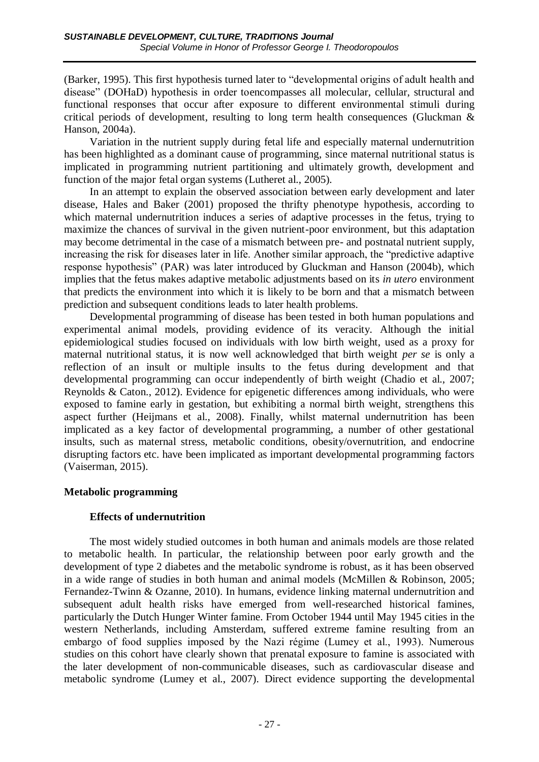(Barker, 1995). This first hypothesis turned later to "developmental origins of adult health and disease" (DOHaD) hypothesis in order toencompasses all molecular, cellular, structural and functional responses that occur after exposure to different environmental stimuli during critical periods of development, resulting to long term health consequences (Gluckman & Hanson, 2004a).

Variation in the nutrient supply during fetal life and especially maternal undernutrition has been highlighted as a dominant cause of programming, since maternal nutritional status is implicated in programming nutrient partitioning and ultimately growth, development and function of the major fetal organ systems (Lutheret al., 2005).

In an attempt to explain the observed association between early development and later disease, Hales and Baker (2001) proposed the thrifty phenotype hypothesis, according to which maternal undernutrition induces a series of adaptive processes in the fetus, trying to maximize the chances of survival in the given nutrient-poor environment, but this adaptation may become detrimental in the case of a mismatch between pre- and postnatal nutrient supply, increasing the risk for diseases later in life. Another similar approach, the "predictive adaptive response hypothesis" (PAR) was later introduced by Gluckman and Hanson (2004b), which implies that the fetus makes adaptive metabolic adjustments based on its *in utero* environment that predicts the environment into which it is likely to be born and that a mismatch between prediction and subsequent conditions leads to later health problems.

Developmental programming of disease has been tested in both human populations and experimental animal models, providing evidence of its veracity. Although the initial epidemiological studies focused on individuals with low birth weight, used as a proxy for maternal nutritional status, it is now well acknowledged that birth weight *per se* is only a reflection of an insult or multiple insults to the fetus during development and that developmental programming can occur independently of birth weight (Chadio et al., 2007; Reynolds & Caton., 2012). Evidence for epigenetic differences among individuals, who were exposed to famine early in gestation, but exhibiting a normal birth weight, strengthens this aspect further (Heijmans et al., 2008). Finally, whilst maternal undernutrition has been implicated as a key factor of developmental programming, a number of other gestational insults, such as maternal stress, metabolic conditions, obesity/overnutrition, and endocrine disrupting factors etc. have been implicated as important developmental programming factors (Vaiserman, 2015).

#### **Metabolic programming**

# **Effects of undernutrition**

The most widely studied outcomes in both human and animals models are those related to metabolic health. In particular, the relationship between poor early growth and the development of type 2 diabetes and the metabolic syndrome is robust, as it has been observed in a wide range of studies in both human and animal models (McMillen & Robinson, 2005; Fernandez-Twinn & Ozanne, 2010). In humans, evidence linking maternal undernutrition and subsequent adult health risks have emerged from well-researched historical famines, particularly the Dutch Hunger Winter famine. From October 1944 until May 1945 cities in the western Netherlands, including Amsterdam, suffered extreme famine resulting from an embargo of food supplies imposed by the Nazi régime (Lumey et al., 1993). Numerous studies on this cohort have clearly shown that prenatal exposure to famine is associated with the later development of non-communicable diseases, such as cardiovascular disease and metabolic syndrome (Lumey et al., 2007). Direct evidence supporting the developmental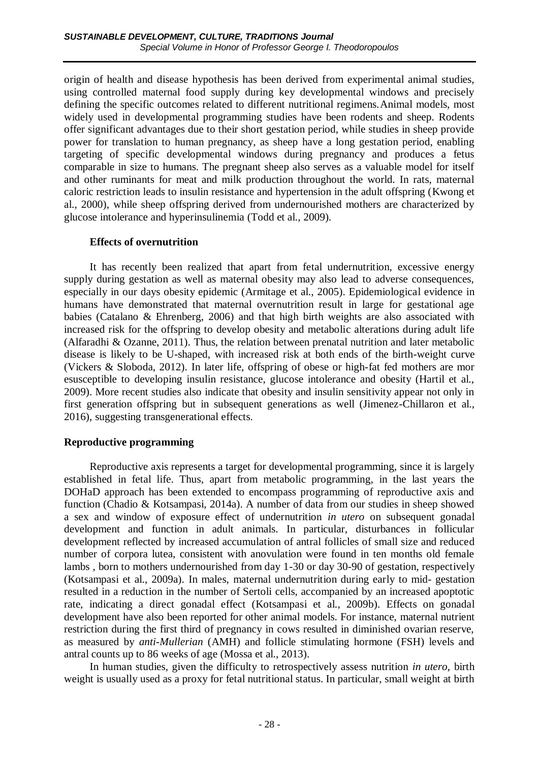origin of health and disease hypothesis has been derived from experimental animal studies, using controlled maternal food supply during key developmental windows and precisely defining the specific outcomes related to different nutritional regimens.Animal models, most widely used in developmental programming studies have been rodents and sheep. Rodents offer significant advantages due to their short gestation period, while studies in sheep provide power for translation to human pregnancy, as sheep have a long gestation period, enabling targeting of specific developmental windows during pregnancy and produces a fetus comparable in size to humans. The pregnant sheep also serves as a valuable model for itself and other ruminants for meat and milk production throughout the world. In rats, maternal caloric restriction leads to insulin resistance and hypertension in the adult offspring (Kwong et al., 2000), while sheep offspring derived from undernourished mothers are characterized by glucose intolerance and hyperinsulinemia (Todd et al., 2009).

## **Effects of overnutrition**

It has recently been realized that apart from fetal undernutrition, excessive energy supply during gestation as well as maternal obesity may also lead to adverse consequences, especially in our days obesity epidemic (Armitage et al., 2005). Epidemiological evidence in humans have demonstrated that maternal overnutrition result in large for gestational age babies (Catalano & Ehrenberg, 2006) and that high birth weights are also associated with increased risk for the offspring to develop obesity and metabolic alterations during adult life (Alfaradhi & Ozanne, 2011). Thus, the relation between prenatal nutrition and later metabolic disease is likely to be U-shaped, with increased risk at both ends of the birth-weight curve (Vickers & Sloboda, 2012). In later life, offspring of obese or high-fat fed mothers are mor esusceptible to developing insulin resistance, glucose intolerance and obesity (Hartil et al., 2009). More recent studies also indicate that obesity and insulin sensitivity appear not only in first generation offspring but in subsequent generations as well (Jimenez-Chillaron et al., 2016), suggesting transgenerational effects.

# **Reproductive programming**

Reproductive axis represents a target for developmental programming, since it is largely established in fetal life. Thus, apart from metabolic programming, in the last years the DOHaD approach has been extended to encompass programming of reproductive axis and function (Chadio & Kotsampasi, 2014a). A number of data from our studies in sheep showed a sex and window of exposure effect of undernutrition *in utero* on subsequent gonadal development and function in adult animals. In particular, disturbances in follicular development reflected by increased accumulation of antral follicles of small size and reduced number of corpora lutea, consistent with anovulation were found in ten months old female lambs , born to mothers undernourished from day 1-30 or day 30-90 of gestation, respectively (Kotsampasi et al., 2009a). In males, maternal undernutrition during early to mid- gestation resulted in a reduction in the number of Sertoli cells, accompanied by an increased apoptotic rate, indicating a direct gonadal effect (Kotsampasi et al., 2009b). Effects on gonadal development have also been reported for other animal models. For instance, maternal nutrient restriction during the first third of pregnancy in cows resulted in diminished ovarian reserve, as measured by *anti-Mullerian* (AMH) and follicle stimulating hormone (FSH) levels and antral counts up to 86 weeks of age (Mossa et al., 2013).

In human studies, given the difficulty to retrospectively assess nutrition *in utero*, birth weight is usually used as a proxy for fetal nutritional status. In particular, small weight at birth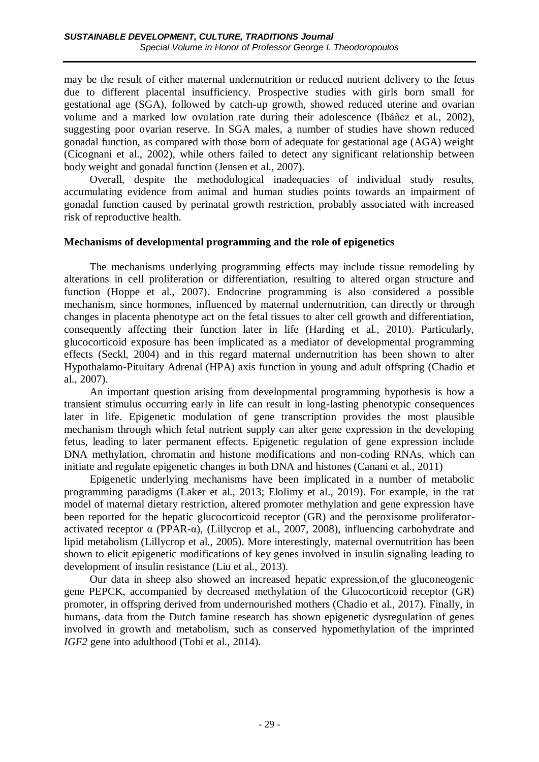may be the result of either maternal undernutrition or reduced nutrient delivery to the fetus due to different placental insufficiency. Prospective studies with girls born small for gestational age (SGA), followed by catch-up growth, showed reduced uterine and ovarian volume and a marked low ovulation rate during their adolescence (Ibáñez et al., 2002), suggesting poor ovarian reserve. In SGA males, a number of studies have shown reduced gonadal function, as compared with those born of adequate for gestational age (AGA) weight (Cicognani et al., 2002), while others failed to detect any significant relationship between body weight and gonadal function (Jensen et al., 2007).

Overall, despite the methodological inadequacies of individual study results, accumulating evidence from animal and human studies points towards an impairment of gonadal function caused by perinatal growth restriction, probably associated with increased risk of reproductive health.

## **Mechanisms of developmental programming and the role of epigenetics**

The mechanisms underlying programming effects may include tissue remodeling by alterations in cell proliferation or differentiation, resulting to altered organ structure and function (Hoppe et al., 2007). Endocrine programming is also considered a possible mechanism, since hormones, influenced by maternal undernutrition, can directly or through changes in placenta phenotype act on the fetal tissues to alter cell growth and differentiation, consequently affecting their function later in life (Harding et al., 2010). Particularly, glucocorticoid exposure has been implicated as a mediator of developmental programming effects (Seckl, 2004) and in this regard maternal undernutrition has been shown to alter Hypothalamo-Pituitary Adrenal (HPA) axis function in young and adult offspring (Chadio et al., 2007).

An important question arising from developmental programming hypothesis is how a transient stimulus occurring early in life can result in long-lasting phenotypic consequences later in life. Epigenetic modulation of gene transcription provides the most plausible mechanism through which fetal nutrient supply can alter gene expression in the developing fetus, leading to later permanent effects. Epigenetic regulation of gene expression include DNA methylation, chromatin and histone modifications and non-coding RNAs, which can initiate and regulate epigenetic changes in both DNA and histones (Canani et al., 2011)

Epigenetic underlying mechanisms have been implicated in a number of metabolic programming paradigms (Laker et al., 2013; Elolimy et al., 2019). For example, in the rat model of maternal dietary restriction, altered promoter methylation and gene expression have been reported for the hepatic glucocorticoid receptor (GR) and the peroxisome proliferatoractivated receptor  $\alpha$  (PPAR- $\alpha$ ), (Lillycrop et al., 2007, 2008), influencing carbohydrate and lipid metabolism (Lillycrop et al., 2005). More interestingly, maternal overnutrition has been shown to elicit epigenetic modifications of key genes involved in insulin signaling leading to development of insulin resistance (Liu et al., 2013).

Our data in sheep also showed an increased hepatic expression,of the gluconeogenic gene PEPCK, accompanied by decreased methylation of the Glucocorticoid receptor (GR) promoter, in offspring derived from undernourished mothers (Chadio et al., 2017). Finally, in humans, data from the Dutch famine research has shown epigenetic dysregulation of genes involved in growth and metabolism, such as conserved hypomethylation of the imprinted *IGF2* gene into adulthood (Tobi et al., 2014).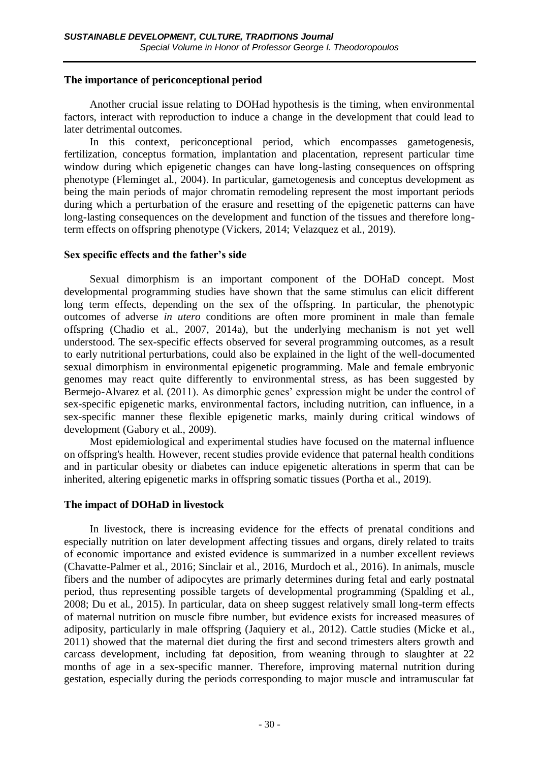### **The importance of periconceptional period**

Another crucial issue relating to DOHad hypothesis is the timing, when environmental factors, interact with reproduction to induce a change in the development that could lead to later detrimental outcomes.

In this context, periconceptional period, which encompasses gametogenesis, fertilization, conceptus formation, implantation and placentation, represent particular time window during which epigenetic changes can have long-lasting consequences on offspring phenotype (Fleminget al., 2004). In particular, gametogenesis and conceptus development as being the main periods of major chromatin remodeling represent the most important periods during which a perturbation of the erasure and resetting of the epigenetic patterns can have long-lasting consequences on the development and function of the tissues and therefore longterm effects on offspring phenotype (Vickers, 2014; Velazquez et al., 2019).

## **Sex specific effects and the father's side**

Sexual dimorphism is an important component of the DOHaD concept. Most developmental programming studies have shown that the same stimulus can elicit different long term effects, depending on the sex of the offspring. In particular, the phenotypic outcomes of adverse *in utero* conditions are often more prominent in male than female offspring (Chadio et al., 2007, 2014a), but the underlying mechanism is not yet well understood. The sex-specific effects observed for several programming outcomes, as a result to early nutritional perturbations, could also be explained in the light of the well-documented sexual dimorphism in environmental epigenetic programming. Male and female embryonic genomes may react quite differently to environmental stress, as has been suggested by Bermejo-Alvarez et al. (2011). As dimorphic genes' expression might be under the control of sex-specific epigenetic marks, environmental factors, including nutrition, can influence, in a sex-specific manner these flexible epigenetic marks, mainly during critical windows of development (Gabory et al., 2009).

Most epidemiological and experimental studies have focused on the maternal influence on offspring's health. However, recent studies provide evidence that paternal health conditions and in particular obesity or diabetes can induce epigenetic alterations in sperm that can be inherited, altering epigenetic marks in offspring somatic tissues (Portha et al., 2019).

#### **The impact of DOHaD in livestock**

In livestock, there is increasing evidence for the effects of prenatal conditions and especially nutrition on later development affecting tissues and organs, direly related to traits of economic importance and existed evidence is summarized in a number excellent reviews (Chavatte-Palmer et al., 2016; Sinclair et al., 2016, Murdoch et al., 2016). In animals, muscle fibers and the number of adipocytes are primarly determines during fetal and early postnatal period, thus representing possible targets of developmental programming (Spalding et al., 2008; Du et al., 2015). In particular, data on sheep suggest relatively small long-term effects of maternal nutrition on muscle fibre number, but evidence exists for increased measures of adiposity, particularly in male offspring (Jaquiery et al., 2012). Cattle studies (Micke et al., 2011) showed that the maternal diet during the first and second trimesters alters growth and carcass development, including fat deposition, from weaning through to slaughter at 22 months of age in a sex-specific manner. Therefore, improving maternal nutrition during gestation, especially during the periods corresponding to major muscle and intramuscular fat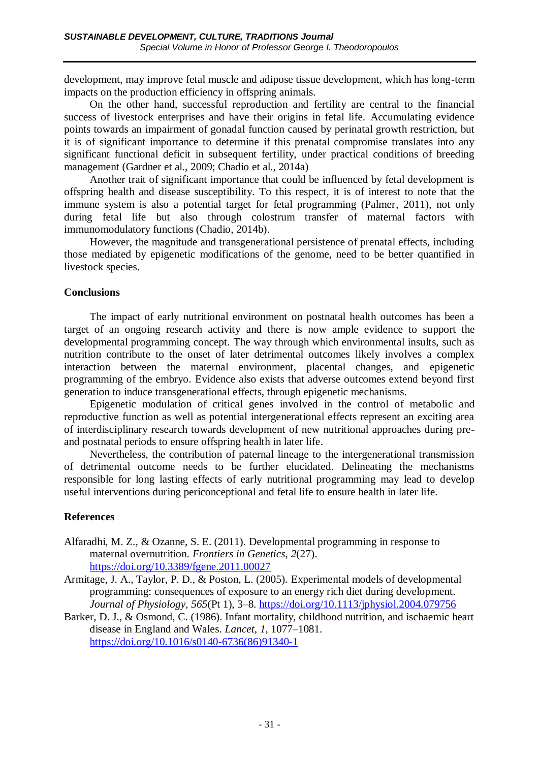development, may improve fetal muscle and adipose tissue development, which has long-term impacts on the production efficiency in offspring animals.

On the other hand, successful reproduction and fertility are central to the financial success of livestock enterprises and have their origins in fetal life. Accumulating evidence points towards an impairment of gonadal function caused by perinatal growth restriction, but it is of significant importance to determine if this prenatal compromise translates into any significant functional deficit in subsequent fertility, under practical conditions of breeding management (Gardner et al., 2009; Chadio et al., 2014a)

Another trait of significant importance that could be influenced by fetal development is offspring health and disease susceptibility. To this respect, it is of interest to note that the immune system is also a potential target for fetal programming (Palmer, 2011), not only during fetal life but also through colostrum transfer of maternal factors with immunomodulatory functions (Chadio, 2014b).

However, the magnitude and transgenerational persistence of prenatal effects, including those mediated by epigenetic modifications of the genome, need to be better quantified in livestock species.

## **Conclusions**

The impact of early nutritional environment on postnatal health outcomes has been a target of an ongoing research activity and there is now ample evidence to support the developmental programming concept. The way through which environmental insults, such as nutrition contribute to the onset of later detrimental outcomes likely involves a complex interaction between the maternal environment, placental changes, and epigenetic programming of the embryo. Evidence also exists that adverse outcomes extend beyond first generation to induce transgenerational effects, through epigenetic mechanisms.

Epigenetic modulation of critical genes involved in the control of metabolic and reproductive function as well as potential intergenerational effects represent an exciting area of interdisciplinary research towards development of new nutritional approaches during preand postnatal periods to ensure offspring health in later life.

Nevertheless, the contribution of paternal lineage to the intergenerational transmission of detrimental outcome needs to be further elucidated. Delineating the mechanisms responsible for long lasting effects of early nutritional programming may lead to develop useful interventions during periconceptional and fetal life to ensure health in later life.

# **References**

- Alfaradhi, M. Z., & Ozanne, S. E. (2011). Developmental programming in response to maternal overnutrition. *Frontiers in Genetics, 2*(27). <https://doi.org/10.3389/fgene.2011.00027>
- Armitage, J. A., Taylor, P. D., & Poston, L. (2005). Experimental models of developmental programming: consequences of exposure to an energy rich diet during development. *Journal of Physiology, 565*(Pt 1), 3–8.<https://doi.org/10.1113/jphysiol.2004.079756>
- Barker, D. J., & Osmond, C. (1986). Infant mortality, childhood nutrition, and ischaemic heart disease in England and Wales. *Lancet, 1*, 1077–1081. [https://doi.org/10.1016/s0140-6736\(86\)91340-1](https://doi.org/10.1016/s0140-6736(86)91340-1)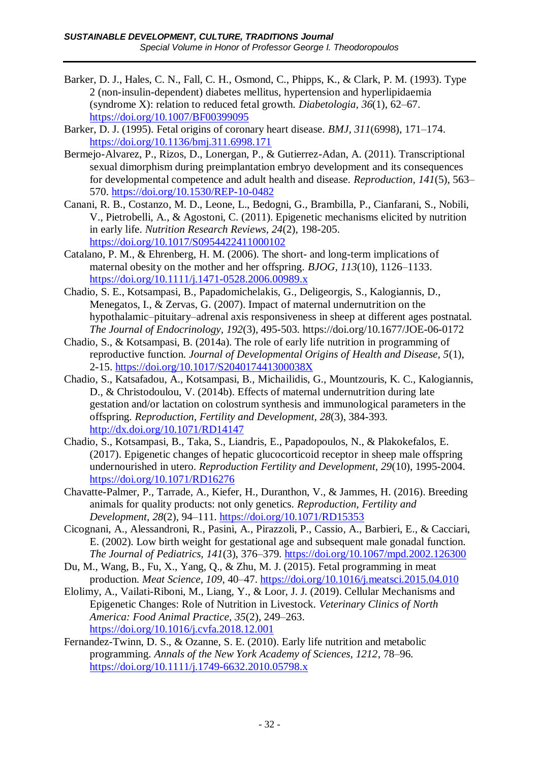- Barker, D. J., Hales, C. N., Fall, C. H., Osmond, C., Phipps, K., & Clark, P. M. (1993). Type 2 (non-insulin-dependent) diabetes mellitus, hypertension and hyperlipidaemia (syndrome X): relation to reduced fetal growth. *Diabetologia, 36*(1), 62–67. <https://doi.org/10.1007/BF00399095>
- Barker, D. J. (1995). Fetal origins of coronary heart disease. *BMJ, 311*(6998), 171–174. <https://doi.org/10.1136/bmj.311.6998.171>
- Bermejo-Alvarez, P., Rizos, D., Lonergan, P., & Gutierrez-Adan, A. (2011). Transcriptional sexual dimorphism during preimplantation embryo development and its consequences for developmental competence and adult health and disease. *Reproduction, 141*(5), 563– 570.<https://doi.org/10.1530/REP-10-0482>
- Canani, R. B., Costanzo, M. D., Leone, L., Bedogni, G., Brambilla, P., Cianfarani, S., Nobili, V., Pietrobelli, A., & Agostoni, C. (2011). Epigenetic mechanisms elicited by nutrition in early life. *Nutrition Research Reviews, 24*(2), 198-205. <https://doi.org/10.1017/S0954422411000102>
- Catalano, P. M., & Ehrenberg, H. M. (2006). The short- and long-term implications of maternal obesity on the mother and her offspring. *BJOG, 113*(10), 1126–1133. <https://doi.org/10.1111/j.1471-0528.2006.00989.x>
- Chadio, S. E., Kotsampasi, B., Papadomichelakis, G., Deligeorgis, S., Kalogiannis, D., Menegatos, I., & Zervas, G. (2007). Impact of maternal undernutrition on the hypothalamic–pituitary–adrenal axis responsiveness in sheep at different ages postnatal. *The Journal of Endocrinology, 192*(3), 495-503. https://doi.org/10.1677/JOE-06-0172
- Chadio, S., & Kotsampasi, B. (2014a). The role of early life nutrition in programming of reproductive function. *Journal of Developmental Origins of Health and Disease, 5*(1), 2-15.<https://doi.org/10.1017/S204017441300038X>
- Chadio, S., Katsafadou, A., Kotsampasi, B., Michailidis, G., Mountzouris, K. C., Kalogiannis, D., & Christodoulou, V. (2014b). Effects of maternal undernutrition during late gestation and/or lactation on colostrum synthesis and immunological parameters in the offspring. *Reproduction, Fertility and Development, 28*(3), 384-393. <http://dx.doi.org/10.1071/RD14147>
- Chadio, S., Kotsampasi, B., Taka, S., Liandris, E., Papadopoulos, N., & Plakokefalos, E. (2017). Epigenetic changes of hepatic glucocorticoid receptor in sheep male offspring undernourished in utero. *Reproduction Fertility and Development, 29*(10), 1995-2004. <https://doi.org/10.1071/RD16276>
- Chavatte-Palmer, P., Tarrade, A., Kiefer, H., Duranthon, V., & Jammes, H. (2016). Breeding animals for quality products: not only genetics. *Reproduction, Fertility and Development, 28*(2), 94–111.<https://doi.org/10.1071/RD15353>
- Cicognani, A., Alessandroni, R., Pasini, A., Pirazzoli, P., Cassio, A., Barbieri, E., & Cacciari, E. (2002). Low birth weight for gestational age and subsequent male gonadal function. *The Journal of Pediatrics, 141*(3), 376–379.<https://doi.org/10.1067/mpd.2002.126300>
- Du, M., Wang, B., Fu, X., Yang, Q., & Zhu, M. J. (2015). Fetal programming in meat production. *Meat Science, 109*, 40–47.<https://doi.org/10.1016/j.meatsci.2015.04.010>
- Elolimy, A., Vailati-Riboni, M., Liang, Y., & Loor, J. J. (2019). Cellular Mechanisms and Epigenetic Changes: Role of Nutrition in Livestock. *Veterinary Clinics of North America: Food Animal Practice, 35*(2), 249–263. <https://doi.org/10.1016/j.cvfa.2018.12.001>
- Fernandez-Twinn, D. S., & Ozanne, S. E. (2010). Early life nutrition and metabolic programming. *Annals of the New York Academy of Sciences, 1212*, 78–96. <https://doi.org/10.1111/j.1749-6632.2010.05798.x>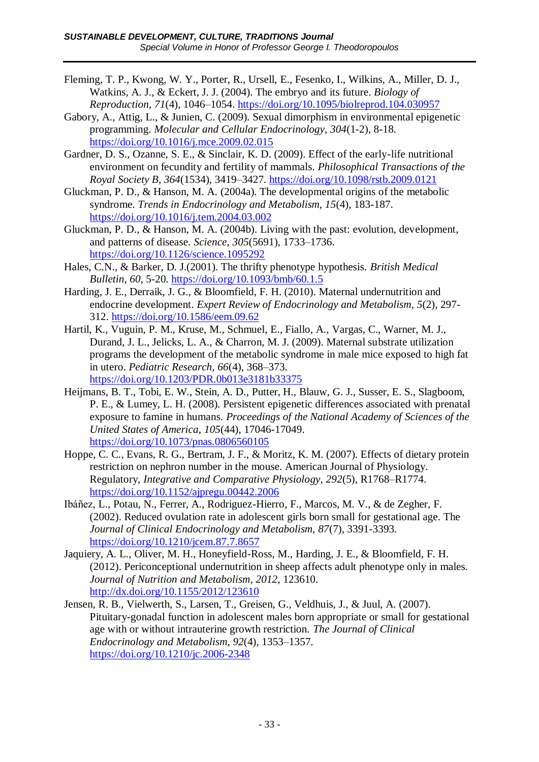- Fleming, T. P., Kwong, W. Y., Porter, R., Ursell, E., Fesenko, I., Wilkins, A., Miller, D. J., Watkins, A. J., & Eckert, J. J. (2004). The embryo and its future. *Biology of Reproduction, 71*(4), 1046–1054.<https://doi.org/10.1095/biolreprod.104.030957>
- Gabory, A., Attig, L., & Junien, C. (2009). Sexual dimorphism in environmental epigenetic programming. *Molecular and Cellular Endocrinology, 304*(1-2), 8-18. <https://doi.org/10.1016/j.mce.2009.02.015>
- Gardner, D. S., Ozanne, S. E., & Sinclair, K. D. (2009). Effect of the early-life nutritional environment on fecundity and fertility of mammals. *Philosophical Transactions of the Royal Society B, 364*(1534), 3419–3427.<https://doi.org/10.1098/rstb.2009.0121>
- Gluckman, P. D., & Hanson, M. A. (2004a). The developmental origins of the metabolic syndrome. *Trends in Endocrinology and Metabolism, 15*(4), 183-187. <https://doi.org/10.1016/j.tem.2004.03.002>
- Gluckman, P. D., & Hanson, M. A. (2004b). Living with the past: evolution, development, and patterns of disease. *Science, 305*(5691), 1733–1736. <https://doi.org/10.1126/science.1095292>
- Hales, C.N., & Barker, D. J.(2001). The thrifty phenotype hypothesis. *British Medical Bulletin, 60*, 5-20.<https://doi.org/10.1093/bmb/60.1.5>
- Harding, J. E., Derraik, J. G., & Bloomfield, F. H. (2010). Maternal undernutrition and endocrine development. *Expert Review of Endocrinology and Metabolism, 5*(2), 297- 312.<https://doi.org/10.1586/eem.09.62>
- Hartil, K., Vuguin, P. M., Kruse, M., Schmuel, E., Fiallo, A., Vargas, C., Warner, M. J., Durand, J. L., Jelicks, L. A., & Charron, M. J. (2009). Maternal substrate utilization programs the development of the metabolic syndrome in male mice exposed to high fat in utero. *Pediatric Research, 66*(4), 368–373. <https://doi.org/10.1203/PDR.0b013e3181b33375>
- Heijmans, B. T., Tobi, E. W., Stein, A. D., Putter, H., Blauw, G. J., Susser, E. S., Slagboom, P. E., & Lumey, L. H. (2008). Persistent epigenetic differences associated with prenatal exposure to famine in humans. *Proceedings of the National Academy of Sciences of the United States of America, 105*(44), 17046-17049. <https://doi.org/10.1073/pnas.0806560105>
- Hoppe, C. C., Evans, R. G., Bertram, J. F., & Moritz, K. M. (2007). Effects of dietary protein restriction on nephron number in the mouse. American Journal of Physiology. Regulatory, *Integrative and Comparative Physiology, 292*(5), R1768–R1774. <https://doi.org/10.1152/ajpregu.00442.2006>
- Ibáñez, L., Potau, N., Ferrer, A., Rodriguez-Hierro, F., Marcos, M. V., & de Zegher, F. (2002). Reduced ovulation rate in adolescent girls born small for gestational age. The *Journal of Clinical Endocrinology and Metabolism, 87*(7), 3391-3393. <https://doi.org/10.1210/jcem.87.7.8657>
- Jaquiery, A. L., Oliver, M. H., Honeyfield-Ross, M., Harding, J. E., & Bloomfield, F. H. (2012). Periconceptional undernutrition in sheep affects adult phenotype only in males. *Journal of Nutrition and Metabolism, 2012*, 123610. <http://dx.doi.org/10.1155/2012/123610>
- Jensen, R. B., Vielwerth, S., Larsen, T., Greisen, G., Veldhuis, J., & Juul, A. (2007). Pituitary-gonadal function in adolescent males born appropriate or small for gestational age with or without intrauterine growth restriction. *The Journal of Clinical Endocrinology and Metabolism, 92*(4), 1353–1357. <https://doi.org/10.1210/jc.2006-2348>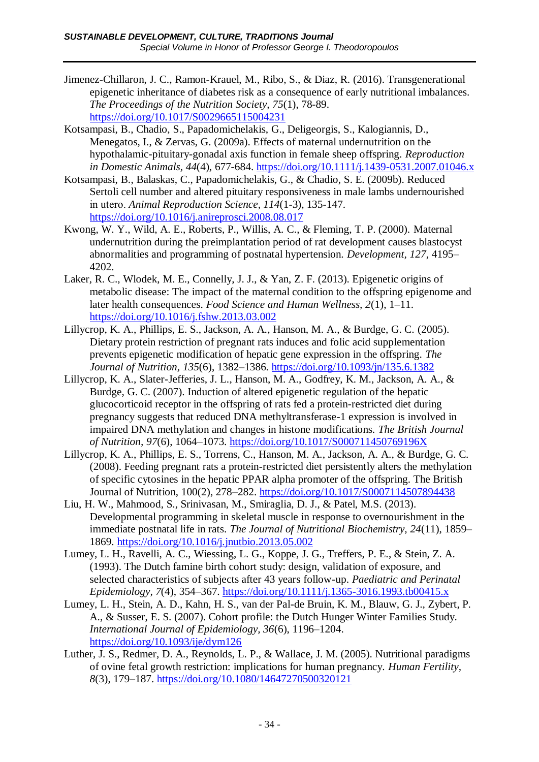- Jimenez-Chillaron, J. C., Ramon-Krauel, M., Ribo, S., & Diaz, R. (2016). Transgenerational epigenetic inheritance of diabetes risk as a consequence of early nutritional imbalances. *The Proceedings of the Nutrition Society, 75*(1), 78-89. <https://doi.org/10.1017/S0029665115004231>
- Kotsampasi, B., Chadio, S., Papadomichelakis, G., Deligeorgis, S., Kalogiannis, D., Menegatos, I., & Zervas, G. (2009a). Effects of maternal undernutrition on the hypothalamic-pituitary-gonadal axis function in female sheep offspring. *Reproduction in Domestic Animals, 44*(4), 677-684.<https://doi.org/10.1111/j.1439-0531.2007.01046.x>
- Kotsampasi, B., Balaskas, C., Papadomichelakis, G., & Chadio, S. E. (2009b). Reduced Sertoli cell number and altered pituitary responsiveness in male lambs undernourished in uterο. *Animal Reproduction Science, 114*(1-3), 135-147. <https://doi.org/10.1016/j.anireprosci.2008.08.017>
- Kwong, W. Y., Wild, A. E., Roberts, P., Willis, A. C., & Fleming, T. P. (2000). Maternal undernutrition during the preimplantation period of rat development causes blastocyst abnormalities and programming of postnatal hypertension. *Development, 127*, 4195– 4202.
- Laker, R. C., Wlodek, M. E., Connelly, J. J., & Yan, Z. F. (2013). Epigenetic origins of metabolic disease: The impact of the maternal condition to the offspring epigenome and later health consequences. *Food Science and Human Wellness, 2*(1), 1–11. <https://doi.org/10.1016/j.fshw.2013.03.002>
- Lillycrop, K. A., Phillips, E. S., Jackson, A. A., Hanson, M. A., & Burdge, G. C. (2005). Dietary protein restriction of pregnant rats induces and folic acid supplementation prevents epigenetic modification of hepatic gene expression in the offspring. *The Journal of Nutrition, 135*(6), 1382–1386.<https://doi.org/10.1093/jn/135.6.1382>
- Lillycrop, K. A., Slater-Jefferies, J. L., Hanson, M. A., Godfrey, K. M., Jackson, A. A., & Burdge, G. C. (2007). Induction of altered epigenetic regulation of the hepatic glucocorticoid receptor in the offspring of rats fed a protein-restricted diet during pregnancy suggests that reduced DNA methyltransferase-1 expression is involved in impaired DNA methylation and changes in histone modifications. *The British Journal of Nutrition, 97*(6), 1064–1073.<https://doi.org/10.1017/S000711450769196X>
- Lillycrop, K. A., Phillips, E. S., Torrens, C., Hanson, M. A., Jackson, A. A., & Burdge, G. C. (2008). Feeding pregnant rats a protein-restricted diet persistently alters the methylation of specific cytosines in the hepatic PPAR alpha promoter of the offspring. The British Journal of Nutrition, 100(2), 278–282.<https://doi.org/10.1017/S0007114507894438>
- Liu, H. W., Mahmood, S., Srinivasan, M., Smiraglia, D. J., & Patel, M.S. (2013). Developmental programming in skeletal muscle in response to overnourishment in the immediate postnatal life in rats. *The Journal of Nutritional Biochemistry, 24*(11), 1859– 1869.<https://doi.org/10.1016/j.jnutbio.2013.05.002>
- Lumey, L. H., Ravelli, A. C., Wiessing, L. G., Koppe, J. G., Treffers, P. E., & Stein, Z. A. (1993). The Dutch famine birth cohort study: design, validation of exposure, and selected characteristics of subjects after 43 years follow-up. *Paediatric and Perinatal Epidemiology, 7*(4), 354–367.<https://doi.org/10.1111/j.1365-3016.1993.tb00415.x>
- Lumey, L. H., Stein, A. D., Kahn, H. S., van der Pal-de Bruin, K. M., Blauw, G. J., Zybert, P. A., & Susser, E. S. (2007). Cohort profile: the Dutch Hunger Winter Families Study. *International Journal of Epidemiology, 36*(6), 1196–1204. <https://doi.org/10.1093/ije/dym126>
- Luther, J. S., Redmer, D. A., Reynolds, L. P., & Wallace, J. M. (2005). Nutritional paradigms of ovine fetal growth restriction: implications for human pregnancy. *Human Fertility, 8*(3), 179–187.<https://doi.org/10.1080/14647270500320121>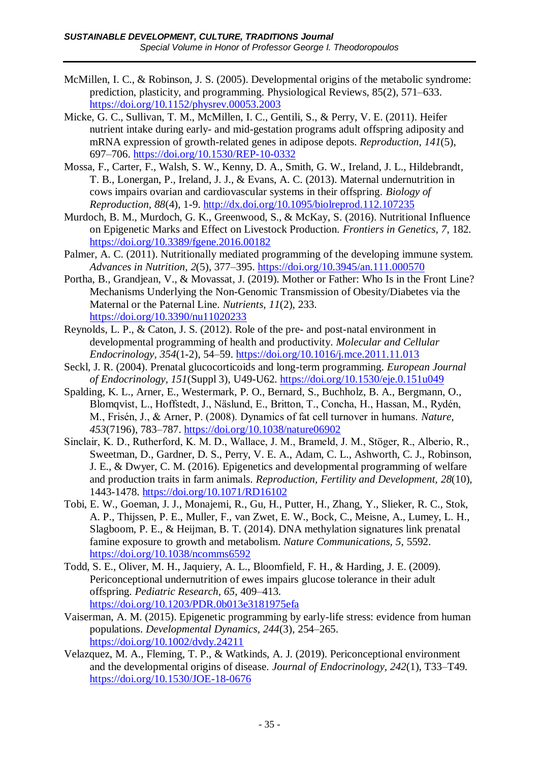- McMillen, I. C., & Robinson, J. S. (2005). Developmental origins of the metabolic syndrome: prediction, plasticity, and programming. Physiological Reviews, 85(2), 571–633. <https://doi.org/10.1152/physrev.00053.2003>
- Micke, G. C., Sullivan, T. M., McMillen, I. C., Gentili, S., & Perry, V. E. (2011). Heifer nutrient intake during early- and mid-gestation programs adult offspring adiposity and mRNA expression of growth-related genes in adipose depots. *Reproduction, 141*(5), 697–706.<https://doi.org/10.1530/REP-10-0332>
- Mossa, F., Carter, F., Walsh, S. W., Kenny, D. A., Smith, G. W., Ireland, J. L., Hildebrandt, T. B., Lonergan, P., Ireland, J. J., & Evans, A. C. (2013). Maternal undernutrition in cows impairs ovarian and cardiovascular systems in their offspring. *Biology of Reproduction, 88*(4), 1-9.<http://dx.doi.org/10.1095/biolreprod.112.107235>
- Murdoch, B. M., Murdoch, G. K., Greenwood, S., & McKay, S. (2016). Nutritional Influence on Epigenetic Marks and Effect on Livestock Production. *Frontiers in Genetics, 7*, 182. <https://doi.org/10.3389/fgene.2016.00182>
- Palmer, A. C. (2011). Nutritionally mediated programming of the developing immune system. *Advances in Nutrition, 2*(5), 377–395. <https://doi.org/10.3945/an.111.000570>
- Portha, B., Grandjean, V., & Movassat, J. (2019). Mother or Father: Who Is in the Front Line? Mechanisms Underlying the Non-Genomic Transmission of Obesity/Diabetes via the Maternal or the Paternal Line*. Nutrients*, *11*(2), 233. <https://doi.org/10.3390/nu11020233>
- Reynolds, L. P., & Caton, J. S. (2012). Role of the pre- and post-natal environment in developmental programming of health and productivity. *Molecular and Cellular Endocrinology, 354*(1-2), 54–59.<https://doi.org/10.1016/j.mce.2011.11.013>
- Seckl, J. R. (2004). Prenatal glucocorticoids and long-term programming. *European Journal of Endocrinology, 151*(Suppl 3), U49-U62.<https://doi.org/10.1530/eje.0.151u049>
- Spalding, K. L., Arner, E., Westermark, P. O., Bernard, S., Buchholz, B. A., Bergmann, O., Blomqvist, L., Hoffstedt, J., Näslund, E., Britton, T., Concha, H., Hassan, M., Rydén, M., Frisén, J., & Arner, P. (2008). Dynamics of fat cell turnover in humans. *Nature, 453*(7196), 783–787.<https://doi.org/10.1038/nature06902>
- Sinclair, K. D., Rutherford, K. M. D., Wallace, J. M., Brameld, J. M., Stöger, R., Alberio, R., Sweetman, D., Gardner, D. S., Perry, V. E. A., Adam, C. L., Ashworth, C. J., Robinson, J. E., & Dwyer, C. M. (2016). Epigenetics and developmental programming of welfare and production traits in farm animals. *Reproduction, Fertility and Development, 28*(10), 1443-1478.<https://doi.org/10.1071/RD16102>
- Tobi, E. W., Goeman, J. J., Monajemi, R., Gu, H., Putter, H., Zhang, Y., Slieker, R. C., Stok, A. P., Thijssen, P. E., Muller, F., van Zwet, E. W., Bock, C., Meisne, A., Lumey, L. H., Slagboom, P. E., & Heijman, B. T. (2014). DNA methylation signatures link prenatal famine exposure to growth and metabolism. *Nature Communications, 5*, 5592. <https://doi.org/10.1038/ncomms6592>
- Todd, S. E., Oliver, M. H., Jaquiery, A. L., Bloomfield, F. H., & Harding, J. E. (2009). Periconceptional undernutrition of ewes impairs glucose tolerance in their adult offspring. *Pediatric Research, 65*, 409–413. <https://doi.org/10.1203/PDR.0b013e3181975efa>
- Vaiserman, A. M. (2015). Epigenetic programming by early-life stress: evidence from human populations. *Developmental Dynamics, 244*(3), 254–265. <https://doi.org/10.1002/dvdy.24211>
- Velazquez, M. A., Fleming, T. P., & Watkinds, A. J. (2019). Periconceptional environment and the developmental origins of disease. *Journal of Endocrinology, 242*(1), T33–T49. <https://doi.org/10.1530/JOE-18-0676>